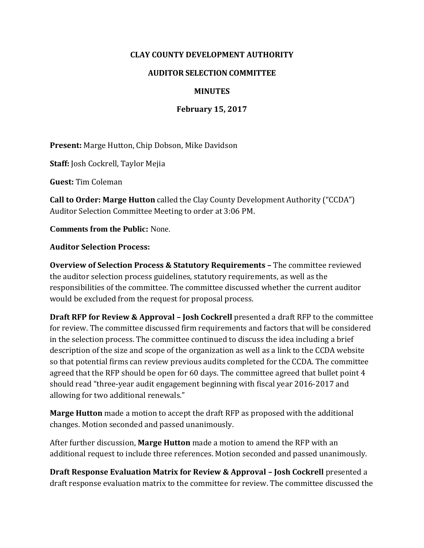### **CLAY COUNTY DEVELOPMENT AUTHORITY**

#### **AUDITOR SELECTION COMMITTEE**

## **MINUTES**

### **February 15, 2017**

**Present:** Marge Hutton, Chip Dobson, Mike Davidson

**Staff:** Josh Cockrell, Taylor Mejia

**Guest:** Tim Coleman

**Call to Order: Marge Hutton** called the Clay County Development Authority ("CCDA") Auditor Selection Committee Meeting to order at 3:06 PM.

**Comments from the Public:** None.

#### **Auditor Selection Process:**

**Overview of Selection Process & Statutory Requirements –** The committee reviewed the auditor selection process guidelines, statutory requirements, as well as the responsibilities of the committee. The committee discussed whether the current auditor would be excluded from the request for proposal process.

**Draft RFP for Review & Approval – Josh Cockrell** presented a draft RFP to the committee for review. The committee discussed firm requirements and factors that will be considered in the selection process. The committee continued to discuss the idea including a brief description of the size and scope of the organization as well as a link to the CCDA website so that potential firms can review previous audits completed for the CCDA. The committee agreed that the RFP should be open for 60 days. The committee agreed that bullet point 4 should read "three-year audit engagement beginning with fiscal year 2016-2017 and allowing for two additional renewals."

**Marge Hutton** made a motion to accept the draft RFP as proposed with the additional changes. Motion seconded and passed unanimously.

After further discussion, **Marge Hutton** made a motion to amend the RFP with an additional request to include three references. Motion seconded and passed unanimously.

**Draft Response Evaluation Matrix for Review & Approval – Josh Cockrell** presented a draft response evaluation matrix to the committee for review. The committee discussed the